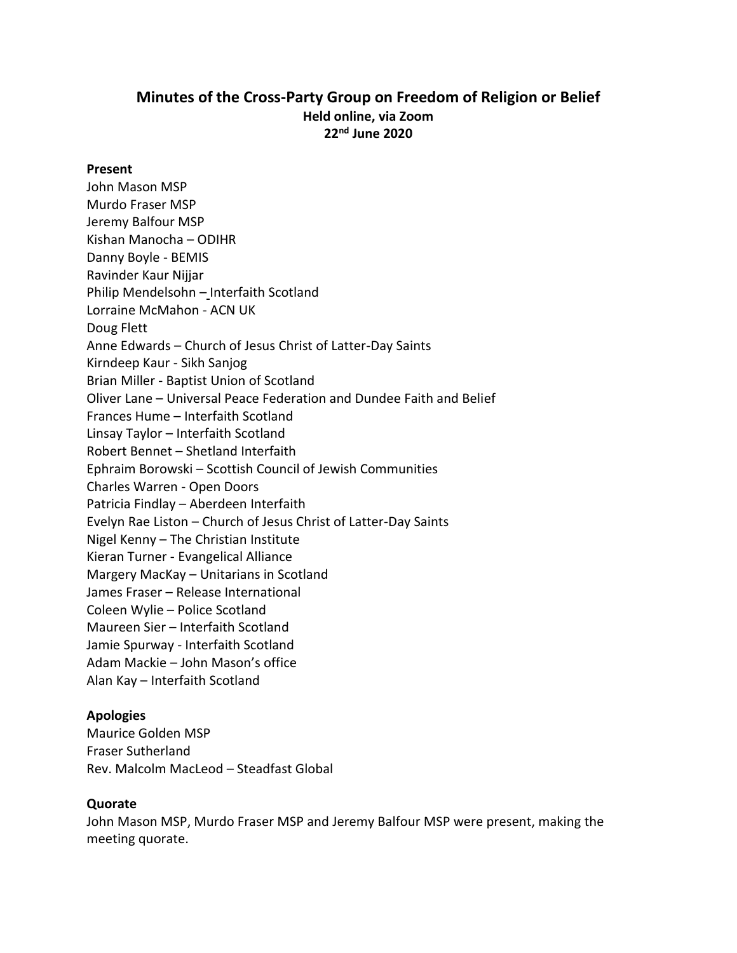# **Minutes of the Cross-Party Group on Freedom of Religion or Belief Held online, via Zoom 22nd June 2020**

#### **Present**

John Mason MSP Murdo Fraser MSP Jeremy Balfour MSP Kishan Manocha – ODIHR Danny Boyle - BEMIS Ravinder Kaur Nijjar Philip Mendelsohn – Interfaith Scotland Lorraine McMahon - ACN UK Doug Flett Anne Edwards – Church of Jesus Christ of Latter-Day Saints Kirndeep Kaur - Sikh Sanjog Brian Miller - Baptist Union of Scotland Oliver Lane – Universal Peace Federation and Dundee Faith and Belief Frances Hume – Interfaith Scotland Linsay Taylor – Interfaith Scotland Robert Bennet – Shetland Interfaith Ephraim Borowski – Scottish Council of Jewish Communities Charles Warren - Open Doors Patricia Findlay – Aberdeen Interfaith Evelyn Rae Liston – Church of Jesus Christ of Latter-Day Saints Nigel Kenny – The Christian Institute Kieran Turner - Evangelical Alliance Margery MacKay – Unitarians in Scotland James Fraser – Release International Coleen Wylie – Police Scotland Maureen Sier – Interfaith Scotland Jamie Spurway - Interfaith Scotland Adam Mackie – John Mason's office Alan Kay – Interfaith Scotland

#### **Apologies**

Maurice Golden MSP Fraser Sutherland Rev. Malcolm MacLeod – Steadfast Global

#### **Quorate**

John Mason MSP, Murdo Fraser MSP and Jeremy Balfour MSP were present, making the meeting quorate.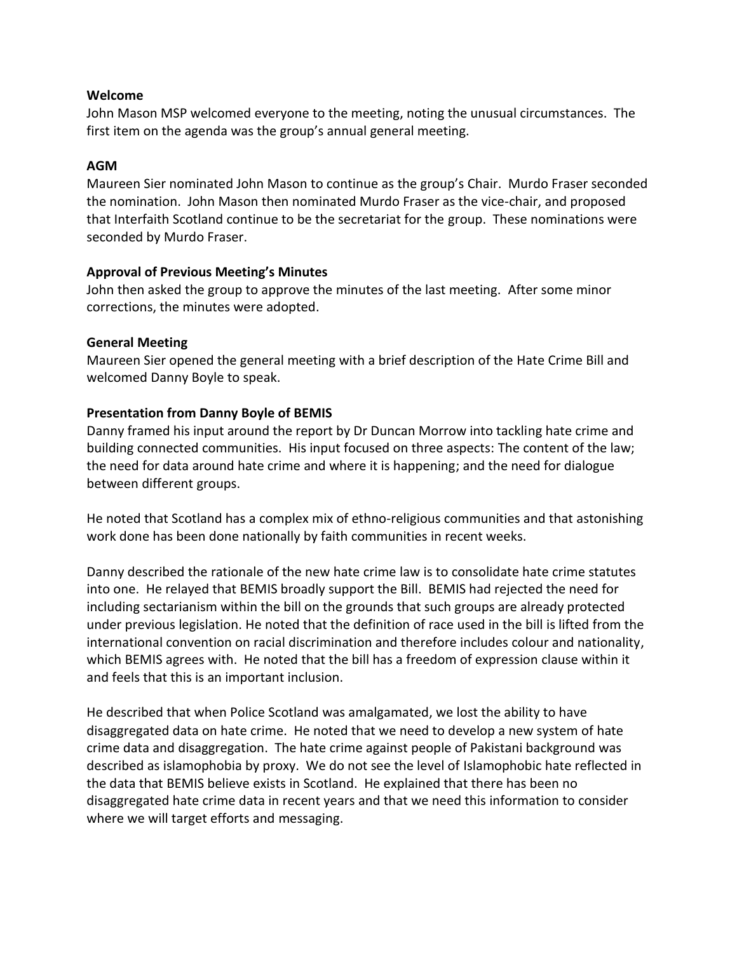## **Welcome**

John Mason MSP welcomed everyone to the meeting, noting the unusual circumstances. The first item on the agenda was the group's annual general meeting.

# **AGM**

Maureen Sier nominated John Mason to continue as the group's Chair. Murdo Fraser seconded the nomination. John Mason then nominated Murdo Fraser as the vice-chair, and proposed that Interfaith Scotland continue to be the secretariat for the group. These nominations were seconded by Murdo Fraser.

## **Approval of Previous Meeting's Minutes**

John then asked the group to approve the minutes of the last meeting. After some minor corrections, the minutes were adopted.

## **General Meeting**

Maureen Sier opened the general meeting with a brief description of the Hate Crime Bill and welcomed Danny Boyle to speak.

# **Presentation from Danny Boyle of BEMIS**

Danny framed his input around the report by Dr Duncan Morrow into tackling hate crime and building connected communities. His input focused on three aspects: The content of the law; the need for data around hate crime and where it is happening; and the need for dialogue between different groups.

He noted that Scotland has a complex mix of ethno-religious communities and that astonishing work done has been done nationally by faith communities in recent weeks.

Danny described the rationale of the new hate crime law is to consolidate hate crime statutes into one. He relayed that BEMIS broadly support the Bill. BEMIS had rejected the need for including sectarianism within the bill on the grounds that such groups are already protected under previous legislation. He noted that the definition of race used in the bill is lifted from the international convention on racial discrimination and therefore includes colour and nationality, which BEMIS agrees with. He noted that the bill has a freedom of expression clause within it and feels that this is an important inclusion.

He described that when Police Scotland was amalgamated, we lost the ability to have disaggregated data on hate crime. He noted that we need to develop a new system of hate crime data and disaggregation. The hate crime against people of Pakistani background was described as islamophobia by proxy. We do not see the level of Islamophobic hate reflected in the data that BEMIS believe exists in Scotland. He explained that there has been no disaggregated hate crime data in recent years and that we need this information to consider where we will target efforts and messaging.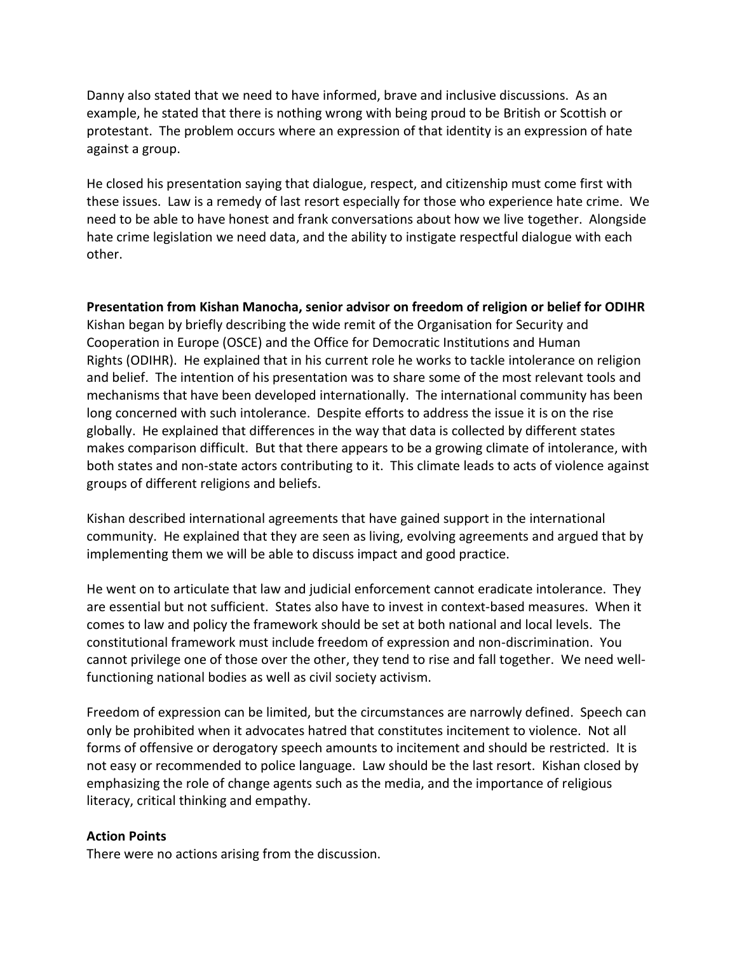Danny also stated that we need to have informed, brave and inclusive discussions. As an example, he stated that there is nothing wrong with being proud to be British or Scottish or protestant. The problem occurs where an expression of that identity is an expression of hate against a group.

He closed his presentation saying that dialogue, respect, and citizenship must come first with these issues. Law is a remedy of last resort especially for those who experience hate crime. We need to be able to have honest and frank conversations about how we live together. Alongside hate crime legislation we need data, and the ability to instigate respectful dialogue with each other.

**Presentation from Kishan Manocha, senior advisor on freedom of religion or belief for ODIHR** Kishan began by briefly describing the wide remit of the Organisation for Security and Cooperation in Europe (OSCE) and the Office for Democratic Institutions and Human Rights (ODIHR). He explained that in his current role he works to tackle intolerance on religion and belief. The intention of his presentation was to share some of the most relevant tools and mechanisms that have been developed internationally. The international community has been long concerned with such intolerance. Despite efforts to address the issue it is on the rise globally. He explained that differences in the way that data is collected by different states makes comparison difficult. But that there appears to be a growing climate of intolerance, with both states and non-state actors contributing to it. This climate leads to acts of violence against groups of different religions and beliefs.

Kishan described international agreements that have gained support in the international community. He explained that they are seen as living, evolving agreements and argued that by implementing them we will be able to discuss impact and good practice.

He went on to articulate that law and judicial enforcement cannot eradicate intolerance. They are essential but not sufficient. States also have to invest in context-based measures. When it comes to law and policy the framework should be set at both national and local levels. The constitutional framework must include freedom of expression and non-discrimination. You cannot privilege one of those over the other, they tend to rise and fall together. We need wellfunctioning national bodies as well as civil society activism.

Freedom of expression can be limited, but the circumstances are narrowly defined. Speech can only be prohibited when it advocates hatred that constitutes incitement to violence. Not all forms of offensive or derogatory speech amounts to incitement and should be restricted. It is not easy or recommended to police language. Law should be the last resort. Kishan closed by emphasizing the role of change agents such as the media, and the importance of religious literacy, critical thinking and empathy.

# **Action Points**

There were no actions arising from the discussion.